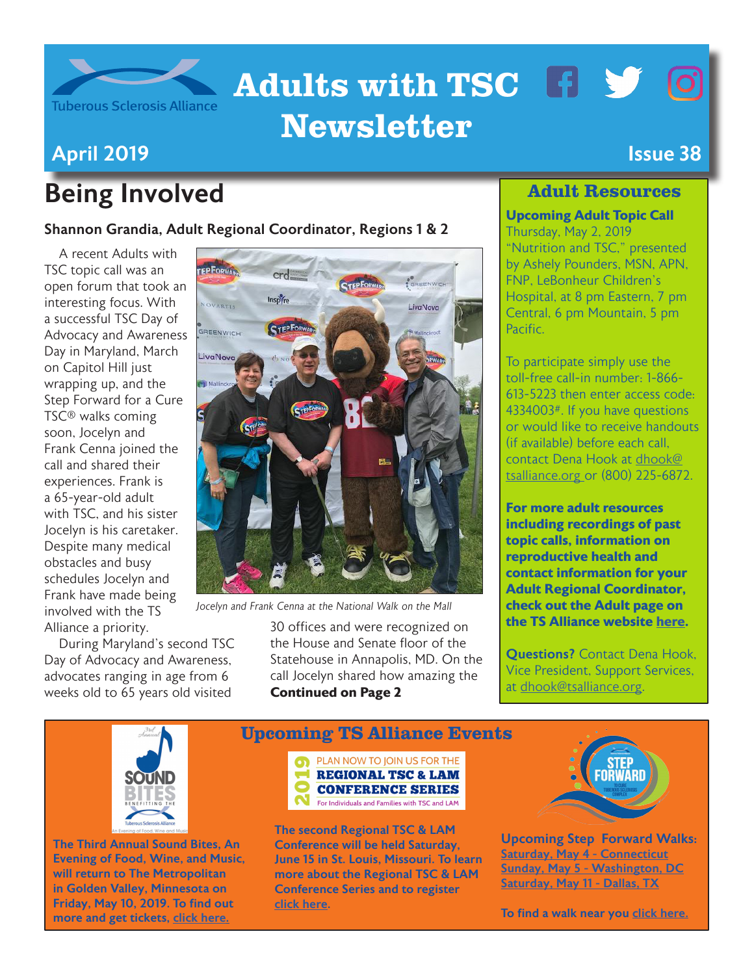

# Adults with TSC F Y O Newsletter

## April 2019 Issue 38

# Being Involved

Shannon Grandia, Adult Regional Coordinator, Regions 1 & 2

A recent Adults with TSC topic call was an open forum that took an interesting focus. With a successful TSC Day of Advocacy and Awareness Day in Maryland, March on Capitol Hill just wrapping up, and the Step Forward for a Cure TSC® walks coming soon, Jocelyn and Frank Cenna joined the call and shared their experiences. Frank is a 65-year-old adult with TSC, and his sister Jocelyn is his caretaker. Despite many medical obstacles and busy schedules Jocelyn and Frank have made being involved with the TS Alliance a priority.

During Maryland's second TSC Day of Advocacy and Awareness, advocates ranging in age from 6 weeks old to 65 years old visited



*Jocelyn and Frank Cenna at the National Walk on the Mall*

30 offices and were recognized on the House and Senate floor of the Statehouse in Annapolis, MD. On the call Jocelyn shared how amazing the **Continued on Page 2**

### Adult Resources

#### **Upcoming Adult Topic Call**

Thursday, May 2, 2019 "Nutrition and TSC," presented by Ashely Pounders, MSN, APN, FNP, LeBonheur Children's Hospital, at 8 pm Eastern, 7 pm Central, 6 pm Mountain, 5 pm **Pacific** 

To participate simply use the toll-free call-in number: 1-866- 613-5223 then enter access code: 4334003#. If you have questions or would like to receive handouts (if available) before each call, contact Dena Hook at [dhook@](mailto:dhook%40tsalliance.org%20?subject=) [tsalliance.org o](mailto:dhook%40tsalliance.org%20?subject=)r (800) 225-6872.

**For more adult resources including recordings of past topic calls, information on reproductive health and contact information for your Adult Regional Coordinator, check out the Adult page on the TS Alliance website [here](https://www.tsalliance.org/individuals-families/adults/).** 

**Questions?** Contact Dena Hook Vice President, Support Services, at [dhook@tsalliance.org.](mailto:dhook%40tsalliance.org?subject=)



The Third Annual Sound Bites, An Evening of Food, Wine, and Music, will return to The Metropolitan in Golden Valley, Minnesota on Friday, May 10, 2019. To find out more and get tickets, [click here.](https://tsalliance.schoolauction.net/mnsoundbites2019/)



For Individuals and Families with TSC and LAM

Upcoming TS Alliance Events

The second Regional TSC & LAM Conference will be held Saturday, June 15 in St. Louis, Missouri. To learn more about the Regional TSC & LAM Conference Series and to register [click here](https://www.thelamfoundation.org/2019-TSC-LAM).



Upc[oming Step Forward Wa](http://giving.tsalliance.org/site/PageServer?pagename=Step17_Home.html)lks: [Saturday, May 4 - Connecticut](http://giving.tsalliance.org/site/TR?fr_id=1588&pg=entry) [Sunday, May 5 - Washington, DC](http://giving.tsalliance.org/site/TR?fr_id=1590&pg=entry) [Saturday, May 11 - Dallas, TX](http://giving.tsalliance.org/site/TR?fr_id=1589&pg=entry)

To find a walk near you [click here.](http://giving.tsalliance.org/site/PageServer?pagename=Step17_Home.html)